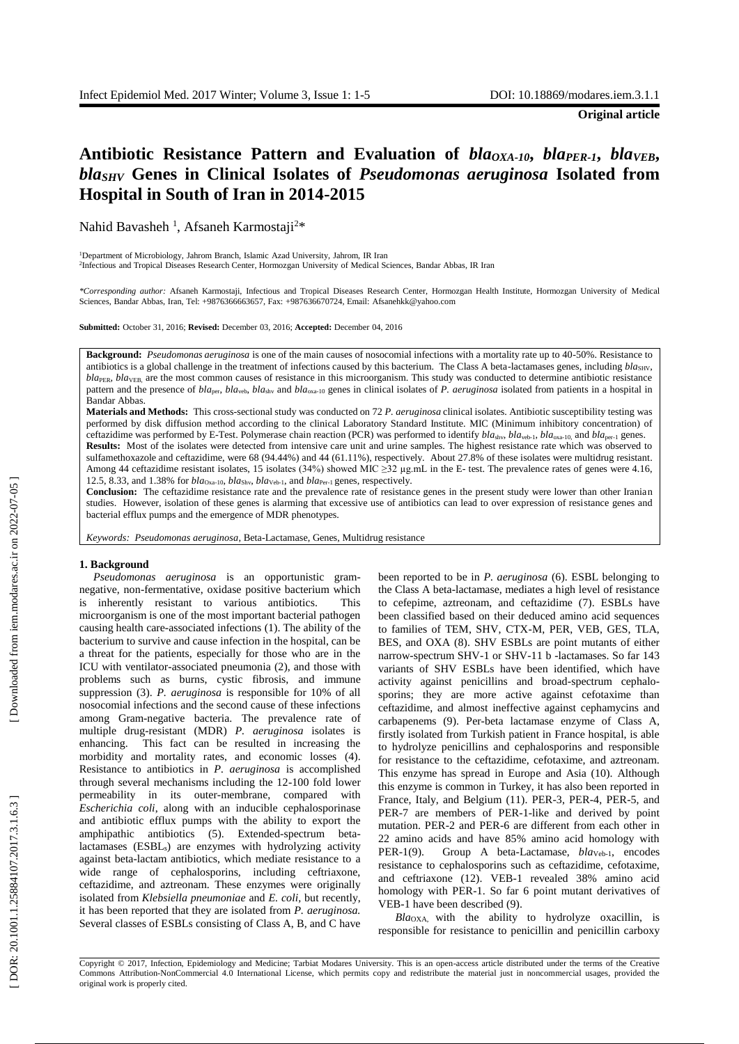**Original article**

# Antibiotic Resistance Pattern and Evaluation of *bla<sub>OXA-10</sub>*, *bla<sub>PER-1</sub>*, *blaVEB*, *blaSHV* **Genes in Clinical Isolates of** *Pseudomonas aeruginosa* **Isolated from Hospital in South of Iran in 2014 -2015**

Nahid Bavasheh<sup>1</sup>, Afsaneh Karmostaji<sup>2\*</sup>

<sup>1</sup>Department of Microbiology, Jahrom Branch, Islamic Azad University, Jahrom, IR Iran 2 Infectious and Tropical Diseases Research Center, Hormozgan University of Medical Sciences, Bandar Abbas, IR Iran

*\*Corresponding author:* Afsaneh Karmostaji, Infectious and Tropical Diseases Research Center, Hormozgan Health Institute, Hormozgan University of Medical Sciences, Bandar Abbas, Iran, Tel: +9876366663657, Fax: +987636670724, Email: Afsanehkk@yahoo.com

**Submitted:** October 31, 2016; **Revised:** December 03, 2016; **Accepted:** December 04, 2016

**Background:** *Pseudomonas aeruginosa* is one of the main causes of nosocomial infections with a mortality rate up to 40 -50%. Resistance to antibiotics is a global challenge in the treatment of infections caused by this bacterium. The Class A beta-lactamases genes, including  $bla<sub>SHV</sub>$ , *bla*<sub>PER</sub>, *bla*<sub>VEB</sub>, are the most common causes of resistance in this microorganism. This study was conducted to determine antibiotic resistance pattern and the presence of *bla*<sub>per</sub>, *bla*<sub>veb</sub>, *bla*<sub>shv</sub> and *bla*<sub>oxa-10</sub> genes in clinical isolates of *P. aeruginosa* isolated from patients in a hospital in Bandar Abbas.

**Materials and Methods:** This cross -sectional study was conducted on 72 *P. aeruginosa* clinical isolates. Antibiotic susceptibility testing was performed by disk diffusion method according to the clinical Laboratory Standard Institute. MIC (Minimum inhibitory concentration) of ceftazidime was performed by E-Test. Polymerase chain reaction (PCR) was performed to identify *bla*<sub>shv</sub>, *bla*<sub>oxa-10</sub>, and *bla*<sub>per-1</sub> genes. **Results:** Most of the isolates were detected from intensive care unit and urine samples. The highest resistance rate which was observed to sulfamethoxazole and ceftazidime, were 68 (94.44%) and 44 (61.11%), respectively. About 27.8% of these isolates were multidrug resistant. Among 44 ceftazidime resistant isolates, 15 isolates (34%) showed MIC ≥32 µg.mL in the E- test. The prevalence rates of genes were 4.16, 12.5, 8.33, and 1.38% for *bla*<sub>Oxa-10</sub>, *bla*<sub>Shv</sub>, *bla*<sub>Veb-1</sub>, and *bla*<sub>Per-1</sub> genes, respectively.

**Conclusion:** The ceftazidime resistance rate and the prevalence rate of resistance genes in the present study were lower than other Iranian studies. However, isolation of these genes is alarming that excessive use of antibiotics can lead to over expression of resistance genes and bacterial efflux pumps and the emergence of MDR phenotypes.

*Keywords: Pseudomonas aeruginosa*, Beta -Lactamase, Genes, Multidrug resistance

#### **1. Background**

*Pseudomonas aeruginosa* is an opportunistic gram negative, non -fermentative, oxidase positive bacterium which is inherently resistant to various antibiotics. This microorganism is one of the most important bacterial pathogen causing health care -associated infections (1). The ability of the bacterium to survive and cause infection in the hospital, can be a threat for the patients, especially for those who are in the ICU with ventilator -associated pneumonia (2), and those with problems such as burns, cystic fibrosis, and immune suppression (3) . *P. aeruginosa* is responsible for 10% of all nosocomial infections and the second cause of these infections among Gram -negative bacteria. The prevalence rate of multiple drug-resistant (MDR) P. aeruginosa isolates is enhancing. This fact can be resulted in increasing the morbidity and mortality rates, and economic losses (4). Resistance to antibiotics in *P. aeruginosa* is accomplished through several mechanisms including the 12 -100 fold lower permeability in its outer -membrane, compared with *Escherichia coli*, along with an inducible cephalosporinase and antibiotic efflux pumps with the ability to export the amphipathic antibiotics (5). Extended -spectrum beta lactamases (ESBL <sup>s</sup>) are enzymes with hydrolyzing activity against beta -lactam antibiotics, which mediate resistance to a wide range of cephalosporins, including ceftriaxone, ceftazidime, and aztreonam. These enzymes were originally isolated from *Klebsiella pneumoniae* and *E. coli,* but recently, it has been reported that they are isolated from *P. aeruginosa.*  Several classes of ESBLs consisting of Class A, B, and C have

been reported to be in *P. aeruginosa* (6). ESBL belonging to the Class A beta -lactamase, mediates a high level of resistance to cefepime, aztreonam, and ceftazidime (7). ESBLs have been classified based on their deduced amino acid sequences to families of TEM, SHV, CTX -M, PER, VEB, GES, TLA, BES, and OXA (8). SHV ESBLs are point mutants of either narrow -spectrum SHV -1 or SHV -11 b -lactamases. So far 143 variants of SHV ESBLs have been identified, which have activity against penicillins and broad -spectrum cephalo sporins; they are more active against cefotaxime than ceftazidime, and almost ineffective against cephamycins and carbapenems (9). Per -beta lactamase enzyme of Class A, firstly isolated from Turkish patient in France hospital, is able to hydrolyze penicillins and cephalosporins and responsible for resistance to the ceftazidime, cefotaxime, and aztreonam. This enzyme has spread in Europe and Asia (10). Although this enzyme is common in Turkey, it has also been reported in France, Italy, and Belgium (11). PER-3, PER-4, PER-5, and PER-7 are members of PER-1-like and derived by point mutation. PER -2 and PER -6 are different from each other in 22 amino acids and have 85% amino acid homology with PER - 1(9). Group A beta-Lactamase, *blaveb-1*, encodes resistance to cephalosporins such as ceftazidime, cefotaxime, and ceftriaxone (12). VEB -1 revealed 38% amino acid homology with PER -1. So far 6 point mutant derivatives of VEB -1 have been described (9) .

*Bla*OXA, with the ability to hydrolyze oxacillin, is responsible for resistance to penicillin and penicillin carboxy

Copyright © 2017, Infection, Epidemiology and Medicine; Tarbiat Modares University. This is an open -access article distributed under the terms of the Creative Commons Attribution -NonCommercial 4.0 International License, which permits copy and redistribute the material just in noncommercial usages, provided the original work is properly cited .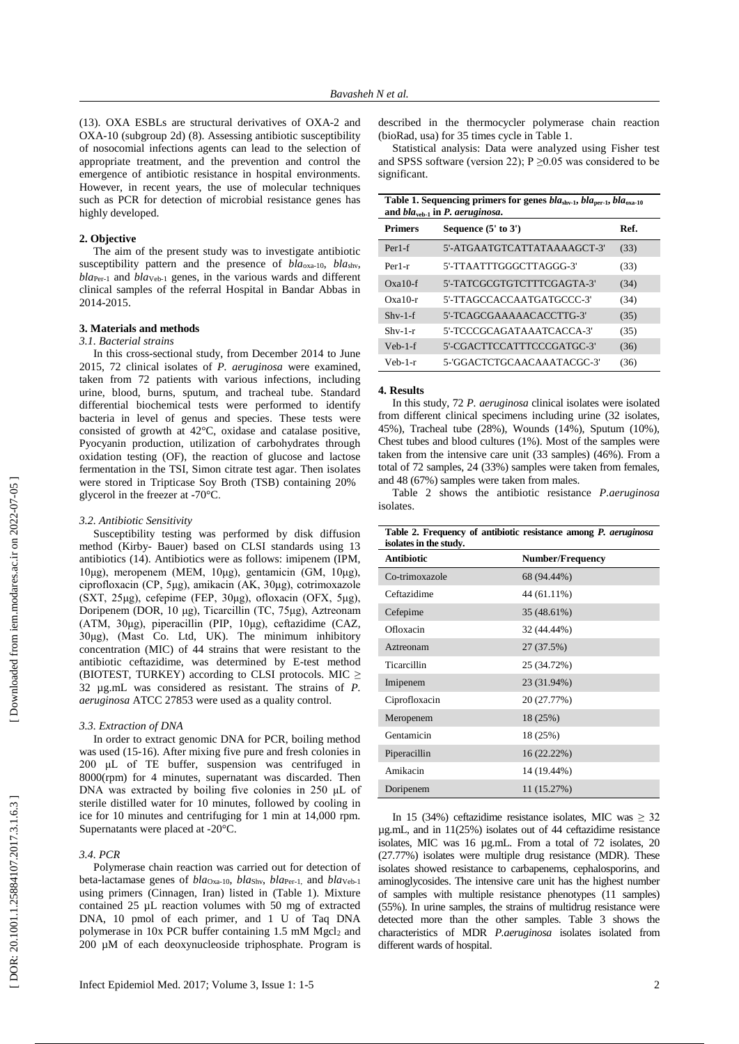(13). OXA ESBLs are structural derivatives of OXA -2 and OXA -10 (subgroup 2d) (8) . Assessing antibiotic susceptibility of nosocomial infections agents can lead to the selection of appropriate treatment, and the prevention and control the emergence of antibiotic resistance in hospital environments. However, in recent years, the use of molecular techniques such as PCR for detection of microbial resistance genes has highly developed.

# **2. Objective**

The aim of the present study was to investigate antibiotic susceptibility pattern and the presence of *bla*<sub>oxa-10</sub>, *bla*<sub>shv</sub>, *bla*Per - <sup>1</sup> and *bla*Veb - <sup>1</sup> genes, in the various wards and different clinical samples of the referral Hospital in Bandar Abbas in 2014 -2015.

## **3. Materials and methods**

# *3.1. Bacterial strains*

In this cross -sectional study, from December 2014 to June 2015, 72 clinical isolates of *P. aeruginosa* were examined, taken from 72 patients with various infections, including urine, blood, burns, sputum, and tracheal tube. Standard differential biochemical tests were performed to identify bacteria in level of genus and species. These tests were consisted of growth at 42°C, oxidase and catalase positive, Pyocyanin production, utilization of carbohydrates through oxidation testing (OF), the reaction of glucose and lactose fermentation in the TSI, Simon citrate test agar. Then isolates were stored in Tripticase Soy Broth (TSB) containing 20% glycerol in the freezer at -70°C.

#### *3.2. Antibiotic Sensitivity*

Susceptibility testing was performed by disk diffusion method (Kirby - Bauer) based on CLSI standards using 13 antibiotics (14). Antibiotics were as follows: imipenem (IPM, 10μg), meropenem (MEM, 10μg), gentamicin (GM, 10μg), ciprofloxacin (CP, 5μg), amikacin (AK, 30μg), cotrimoxazole (SXT, 25μg), cefepime (FEP, 30μg), ofloxacin (OFX, 5μg), Doripenem (DOR , 10 μg), Ticarcillin (TC, 75μg), Aztreonam (ATM, 30μg), piperacillin (PIP, 10μg), ceftazidime (CAZ, 30μg), (Mast Co. Ltd, UK). The minimum inhibitory concentration (MIC) of 44 strains that were resistant to the antibiotic ceftazidime, was determined by E -test method (BIOTEST, TURKEY) according to CLSI protocols. MIC  $\geq$ 32 µg.mL was considered as resistant. The strains of *P. aeruginosa* ATCC 27853 were used as a quality control.

#### *3.3. Extraction of DNA*

In order to extract genomic DNA for PCR, boiling method was used (15 -16). After mixing five pure and fresh colonies in 200 μL of TE buffer, suspension was centrifuged in 8000(rpm) for 4 minutes, supernatant was discarded. Then DNA was extracted by boiling five colonies in 250 μL of sterile distilled water for 10 minutes, followed by cooling in ice for 10 minutes and centrifuging for 1 min at 14,000 rpm. Supernatants were placed at -20°C.

## *3.4. PCR*

Polymerase chain reaction was carried out for detection of beta-lactamase genes of *bla*<sub>Oxa-10</sub>, *bla*<sub>Shv</sub>, *bla*<sub>Per-1</sub>, and *bla*<sub>Veb-1</sub> using primers (Cinnagen, Iran) listed in (Table 1). Mixture contained 25 µL reaction volumes with 50 mg of extracted DNA, 10 pmol of each primer, and 1 U of Taq DNA polymerase in 10x PCR buffer containing 1.5 mM Mgcl <sup>2</sup> and 200 µM of each deoxynucleoside triphosphate. Program is

Statistical analysis: Data were analyzed using Fisher test and SPSS software (version 22);  $P \ge 0.05$  was considered to be significant.

| Table 1. Sequencing primers for genes $blashv-1, blaper-1, blaoxa-10$<br>and $blaveh-1$ in P. aeruginosa. |                             |      |  |  |  |
|-----------------------------------------------------------------------------------------------------------|-----------------------------|------|--|--|--|
| <b>Primers</b>                                                                                            | Sequence $(5'$ to $3')$     | Ref. |  |  |  |
| $Per1-f$                                                                                                  | 5'-ATGAATGTCATTATAAAAGCT-3' | (33) |  |  |  |
| Per <sub>1-r</sub>                                                                                        | 5'-TTAATTTGGGCTTAGGG-3'     | (33) |  |  |  |
| $Oxa10-f$                                                                                                 | 5'-TATCGCGTGTCTTTCGAGTA-3'  | (34) |  |  |  |
| $Oxa10-r$                                                                                                 | 5'-TTAGCCACCAATGATGCCC-3'   | (34) |  |  |  |
| $Shv-1-f$                                                                                                 | 5'-TCAGCGAAAAACACCTTG-3'    | (35) |  |  |  |
| $Shv-1-r$                                                                                                 | 5'-TCCCGCAGATAAATCACCA-3'   | (35) |  |  |  |
| $Veh-1-f$                                                                                                 | 5'-CGACTTCCATTTCCCGATGC-3'  | (36) |  |  |  |
| Veb-1-r                                                                                                   | 5-'GGACTCTGCAACAAATACGC-3'  | (36) |  |  |  |

## **4. Results**

In this study, 72 *P. aeruginosa* clinical isolates were isolated from different clinical specimens including urine (32 isolates, 45%), Tracheal tube (28%), Wounds (14%), Sputum (10%), Chest tubes and blood cultures (1%). Most of the samples were taken from the intensive care unit (33 samples) (46%). From a total of 72 samples, 24 (33%) samples were taken from females, and 48 (67%) samples were taken from males.

Table 2 shows the antibiotic resistance *P.aeruginosa* isolates.

| Table 2. Frequency of antibiotic resistance among P. aeruginosa<br>isolates in the study. |                         |  |  |  |  |
|-------------------------------------------------------------------------------------------|-------------------------|--|--|--|--|
| <b>Antibiotic</b>                                                                         | <b>Number/Frequency</b> |  |  |  |  |
| Co-trimoxazole                                                                            | 68 (94.44%)             |  |  |  |  |
| Ceftazidime                                                                               | 44 (61.11%)             |  |  |  |  |
| Cefepime                                                                                  | 35 (48.61%)             |  |  |  |  |
| Ofloxacin                                                                                 | 32 (44.44%)             |  |  |  |  |
| Aztreonam                                                                                 | 27 (37.5%)              |  |  |  |  |
| Ticarcillin                                                                               | 25 (34.72%)             |  |  |  |  |
| Imipenem                                                                                  | 23 (31.94%)             |  |  |  |  |
| Ciprofloxacin                                                                             | 20 (27.77%)             |  |  |  |  |
| Meropenem                                                                                 | 18 (25%)                |  |  |  |  |
| Gentamicin                                                                                | 18 (25%)                |  |  |  |  |
| Piperacillin                                                                              | 16 (22.22%)             |  |  |  |  |
| Amikacin                                                                                  | 14 (19.44%)             |  |  |  |  |
| Doripenem                                                                                 | 11 (15.27%)             |  |  |  |  |

In 15 (34%) ceftazidime resistance isolates, MIC was  $\geq$  32 µg.mL, and in 11(25%) isolates out of 44 ceftazidime resistance isolates, MIC was 16 µg.mL. From a total of 72 isolates, 20 (27.77%) isolates were multiple drug resistance (MDR). These isolates showed resistance to carbapenems, cephalosporins, and aminoglycosides. The intensive care unit has the highest number of samples with multiple resistance phenotypes (11 samples) (55%). In urine samples, the strains of multidrug resistance were detected more than the other samples. Table 3 shows the characteristics of MDR *P.aeruginosa* isolates isolated from different wards of hospital.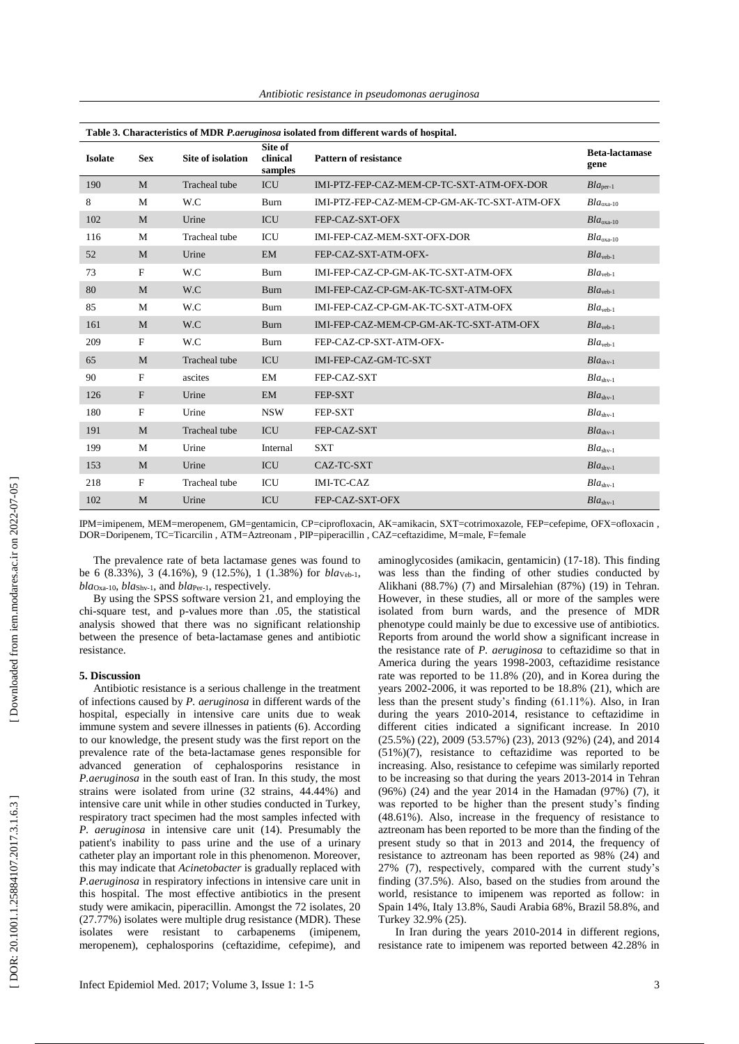| Table 3. Characteristics of MDR P.aeruginosa isolated from different wards of hospital. |              |                          |                                |                                             |                               |  |  |  |
|-----------------------------------------------------------------------------------------|--------------|--------------------------|--------------------------------|---------------------------------------------|-------------------------------|--|--|--|
| <b>Isolate</b>                                                                          | <b>Sex</b>   | <b>Site of isolation</b> | Site of<br>clinical<br>samples | <b>Pattern of resistance</b>                | <b>Beta-lactamase</b><br>gene |  |  |  |
| 190                                                                                     | M            | Tracheal tube            | <b>ICU</b>                     | IMI-PTZ-FEP-CAZ-MEM-CP-TC-SXT-ATM-OFX-DOR   | $Bla_{\text{per-1}}$          |  |  |  |
| 8                                                                                       | M            | W.C                      | <b>Burn</b>                    | IMI-PTZ-FEP-CAZ-MEM-CP-GM-AK-TC-SXT-ATM-OFX | $Bla$ <sub>oxa-10</sub>       |  |  |  |
| 102                                                                                     | M            | Urine                    | <b>ICU</b>                     | FEP-CAZ-SXT-OFX                             | $Bla$ <sub>oxa-10</sub>       |  |  |  |
| 116                                                                                     | M            | <b>Tracheal</b> tube     | ICU                            | IMI-FEP-CAZ-MEM-SXT-OFX-DOR                 | $Bla$ <sub>oxa-10</sub>       |  |  |  |
| 52                                                                                      | M            | Urine                    | <b>EM</b>                      | FEP-CAZ-SXT-ATM-OFX-                        | $Bla_{\text{veb-1}}$          |  |  |  |
| 73                                                                                      | F            | W.C                      | Burn                           | IMI-FEP-CAZ-CP-GM-AK-TC-SXT-ATM-OFX         | $Bla_{\text{veb-1}}$          |  |  |  |
| 80                                                                                      | M            | W.C                      | Burn                           | IMI-FEP-CAZ-CP-GM-AK-TC-SXT-ATM-OFX         | $Bla_{\text{veb-1}}$          |  |  |  |
| 85                                                                                      | M            | W.C                      | Burn                           | IMI-FEP-CAZ-CP-GM-AK-TC-SXT-ATM-OFX         | $Bla_{\text{veh-1}}$          |  |  |  |
| 161                                                                                     | M            | W.C                      | <b>Burn</b>                    | IMI-FEP-CAZ-MEM-CP-GM-AK-TC-SXT-ATM-OFX     | $Bla_{\text{veb-1}}$          |  |  |  |
| 209                                                                                     | F            | W.C                      | Burn                           | FEP-CAZ-CP-SXT-ATM-OFX-                     | $Bla_{\text{veb-1}}$          |  |  |  |
| 65                                                                                      | M            | <b>Tracheal</b> tube     | <b>ICU</b>                     | IMI-FEP-CAZ-GM-TC-SXT                       | $Blashv-1$                    |  |  |  |
| 90                                                                                      | F            | ascites                  | EM                             | FEP-CAZ-SXT                                 | $Blashv-1$                    |  |  |  |
| 126                                                                                     | $\mathbf{F}$ | Urine                    | <b>EM</b>                      | FEP-SXT                                     | $Blashv-1$                    |  |  |  |
| 180                                                                                     | F            | Urine                    | <b>NSW</b>                     | FEP-SXT                                     | $Blashv-1$                    |  |  |  |
| 191                                                                                     | M            | <b>Tracheal</b> tube     | <b>ICU</b>                     | FEP-CAZ-SXT                                 | $Blashv-1$                    |  |  |  |
| 199                                                                                     | M            | Urine                    | Internal                       | <b>SXT</b>                                  | $Blashv-1$                    |  |  |  |
| 153                                                                                     | M            | Urine                    | <b>ICU</b>                     | CAZ-TC-SXT                                  | $Blashv-1$                    |  |  |  |
| 218                                                                                     | F            | Tracheal tube            | ICU                            | IMI-TC-CAZ                                  | $Bla_{\text{shv-1}}$          |  |  |  |
| 102                                                                                     | M            | Urine                    | ICU                            | FEP-CAZ-SXT-OFX                             | $Blashv-1$                    |  |  |  |

*Antibiotic resistance in pseudomonas aeruginosa*

IPM=imipenem, MEM=meropenem, GM=gentamicin, CP=ciprofloxacin, AK=amikacin, SXT=cotrimoxazole, FEP=cefepime, OFX=ofloxacin , DOR=Doripenem, TC=Ticarcilin , ATM=Aztreonam , PIP=piperacillin , CAZ=ceftazidime, M=male, F=female

The prevalence rate of beta lactamase genes was found to be 6 (8.33%), 3 (4.16%), 9 (12.5%), 1 (1.38%) for *bla*Veb - 1, *bla*Oxa -10, *bla*Shv - <sup>1</sup>, and *bla*Per - <sup>1</sup>, respectively.

By using the SPSS software version 21, and employing the chi -square test, and p -values more than .05, the statistical analysis showed that there was no significant relationship between the presence of beta -lactamase genes and antibiotic resistance.

# **5. Discussion**

Antibiotic resistance is a serious challenge in the treatment of infections caused by *P. aeruginosa* in different wards of the hospital, especially in intensive care units due to weak immune system and severe illnesses in patients (6) . According to our knowledge, the present study was the first report on the prevalence rate of the beta -lactamase genes responsible for advanced generation of cephalosporins resistance in *P.aeruginosa* in the south east of Iran. In this study, the most strains were isolated from urine (32 strains, 44.44%) and intensive care unit while in other studies conducted in Turkey, respiratory tract specimen had the most samples infected with *P. aeruginosa* in intensive care unit (14). Presumably the patient's inability to pass urine and the use of a urinary catheter play an important role in this phenomenon. Moreover, this may indicate that *Acinetobacter* is gradually replaced with *P.aeruginosa* in respiratory infections in intensive care unit in this hospital. The most effective antibiotics in the present study were amikacin, piperacillin. Amongst the 72 isolates, 20 (27.77%) isolates were multiple drug resistance (MDR). These isolates were resistant to carbapenems (imipenem, meropenem), cephalosporins (ceftazidime, cefepime), and

aminoglycosides (amikacin, gentamicin) (17 -18). This finding was less than the finding of other studies conducted by Alikhani (88.7%) (7) and Mirsalehian (87%) (19) in Tehran. However, in these studies, all or more of the samples were isolated from burn wards, and the presence of MDR phenotype could mainly be due to excessive use of antibiotics. Reports from around the world show a significant increase in the resistance rate of *P. aeruginosa* to ceftazidime so that in America during the years 1998 -2003, ceftazidime resistance rate was reported to be 11.8% (20), and in Korea during the years 2002 -2006, it was reported to be 18.8% (21), which are less than the present study's finding (61.11%). Also, in Iran during the years 2010 -2014, resistance to ceftazidime in different cities indicated a significant increase. In 2010 (25.5%) (22), 2009 (53.57%) (23), 2013 (92%) (24), and 2014 (51%)(7), resistance to ceftazidime was reported to be increasing . Also, resistance to cefepime was similarly reported to be increasing so that during the years 2013 -2014 in Tehran (96%) (24) and the year 2014 in the Hamadan (97%) (7), it was reported to be higher than the present study's finding (48.61%). Also, increase in the frequency of resistance to aztreonam has been reported to be more than the finding of the present study so that in 2013 and 2014, the frequency of resistance to aztreonam has been reported as 98% (24) and 27% (7), respectively, compared with the current study's finding (37.5%) . Also, based on the studies from around the world, resistance to imipenem was reported as follow: in Spain 14%, Italy 13.8%, Saudi Arabia 68%, Brazil 58.8%, and Turkey 32.9% (25).

In Iran during the years 2010 -2014 in different regions, resistance rate to imipenem was reported between 42.28% in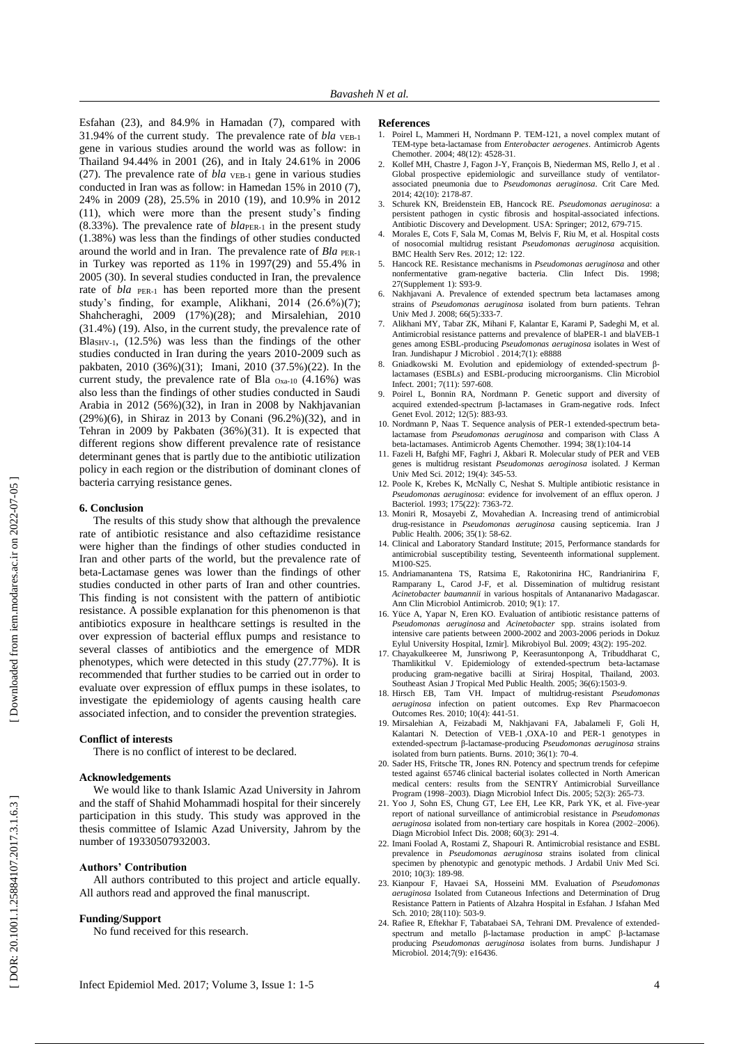Esfahan (23), and 84.9% in Hamadan (7), compared with 31.94% of the current study. The prevalence rate of *bla* VEB-1 gene in various studies around the world was as follow: in Thailand 94.44% in 2001 (26), and in Italy 24.61% in 2006 (27). The prevalence rate of *bla* VEB - <sup>1</sup> gene in various studies conducted in Iran was as follow: in Hamedan 15% in 2010 (7), 24% in 2009 (28), 25.5% in 2010 (19), and 10.9% in 2012 (11), which were more than the present study's finding (8.33%). The prevalence rate of *bla*<sub>PER-1</sub> in the present study (1.38%) was less than the findings of other studies conducted around the world and in Iran. The prevalence rate of *Bla* PER-1 in Turkey was reported as 11% in 1997(29) and 55.4% in 2005 (30). In several studies conducted in Iran, the prevalence rate of *bla* PER-1 has been reported more than the present study's finding, for example, Alikhani, 2014 (26.6%)(7); Shahcheraghi, 2009 (17%)(28); and Mirsalehian, 2010 (31.4%) (19). Also, in the current study, the prevalence rate of Blas<sub>HV-1</sub>, (12.5%) was less than the findings of the other studies conducted in Iran during the years 2010 -2009 such as pakbaten, 2010 (36%)(31); Imani, 2010 (37.5%)(22). In the current study, the prevalence rate of Bla  $_{\text{Oxa-10}}$  (4.16%) was also less than the findings of other studies conducted in Saudi Arabia in 2012 (56%)(32), in Iran in 2008 by Nakhjavanian (29%)(6), in Shiraz in 2013 by Conani (96.2%)(32), and in Tehran in 2009 by Pakbaten (36%)(31). It is expected that different regions show different prevalence rate of resistance determinant genes that is partly due to the antibiotic utilization policy in each region or the distribution of dominant clones of bacteria carrying resistance genes.

# **6. Conclusion**

The results of this study show that although the prevalence rate of antibiotic resistance and also ceftazidime resistance were higher than the findings of other studies conducted in Iran and other parts of the world, but the prevalence rate of beta -Lactamase genes was lower than the findings of other studies conducted in other parts of Iran and other countries. This finding is not consistent with the pattern of antibiotic resistance. A possible explanation for this phenomenon is that antibiotics exposure in healthcare settings is resulted in the over expression of bacterial efflux pumps and resistance to several classes of antibiotics and the emergence of MDR phenotypes, which were detected in this study (27.77%). It is recommended that further studies to be carried out in order to evaluate over expression of efflux pumps in these isolates, to investigate the epidemiology of agents causing health care associated infection, and to consider the prevention strategies.

#### **Conflict of interests**

There is no conflict of interest to be declared.

### **Acknowledgements**

We would like to thank Islamic Azad University in Jahrom and the staff of Shahid Mohammadi hospital for their sincerely participation in this study. This study was approved in the thesis committee of Islamic Azad University, Jahrom by the number of 19330507932003 .

# **Authors' Contribution**

All authors contributed to this project and article equally. All authors read and approved the final manuscript.

# **Funding/Support**

No fund received for this research.

## **References**

- 1. Poirel L, Mammeri H, Nordmann P. TEM -121, a novel complex mutant of TEM -type beta -lactamase from *Enterobacter aerogenes*. Antimicrob Agents Chemother. 2004; 48(12): 4528-31.
- 2. Kollef MH, Chastre J, Fagon J -Y, François B, Niederman MS, Rello J, et al . Global prospective epidemiologic and surveillance study of ventilator associated pneumonia due to *Pseudomonas aeruginosa*. Crit Care Med. 2014; 42(10): 2178 -87 .
- 3. Schurek KN, Breidenstein EB, Hancock RE. *Pseudomonas aeruginosa*: a persistent pathogen in cystic fibrosis and hospital -associated infections. Antibiotic Discovery and Development. USA: Springer; 2012, 679-715.
- Morales E, Cots F, Sala M, Comas M, Belvis F, Riu M, et al. Hospital costs of nosocomial multidrug resistant *Pseudomonas aeruginosa* acquisition. BMC Health Serv Res. 2012; 12: 122 .
- 5. Hancock RE. Resistance mechanisms in *Pseudomonas aeruginosa* and other nonfermentative gram -negative bacteria. Clin Infect Dis. 1998; 27(Supplement 1): S93 - 9 .
- 6. Nakhjavani A. Prevalence of extended spectrum beta lactamases among strains of *Pseudomonas aeruginosa* isolated from burn patients. Tehran Univ Med J. 2008; 66(5):333-7.
- 7. Alikhani MY, Tabar ZK, Mihani F, Kalantar E, Karami P, Sadeghi M, et al. Antimicrobial resistance patterns and prevalence of blaPER -1 and blaVEB -1 genes among ESBL -producing *Pseudomonas aeruginosa* isolates in West of Iran. Jundishapur J Microbiol . 2014;7(1): e8888
- 8. Gniadkowski M. Evolution and epidemiology of extended ‐spectrum β ‐ lactamases (ESBLs) and ESBL ‐producing microorganisms. Clin Microbiol Infect. 2001; 7(11): 597 -608 .
- 9. Poirel L, Bonnin RA, Nordmann P. Genetic support and diversity of acquired extended -spectrum β -lactamases in Gram -negative rods. Infect Genet Evol. 2012; 12(5): 883-93.
- 10. Nordmann P, Naas T. Sequence analysis of PER -1 extended -spectrum beta lactamase from *Pseudomonas aeruginosa* and comparison with Class A beta-lactamases. Antimicrob Agents Chemother. 1994; 38(1):104-14
- 11. Fazeli H, Bafghi MF, Faghri J, Akbari R. Molecular study of PER and VEB genes is multidrug resistant *Pseudomonas aeroginosa* isolated. J Kerman Univ Med Sci. 2012; 19(4): 345-53.
- 12. Poole K, Krebes K, McNally C, Neshat S. Multiple antibiotic resistance in *Pseudomonas aeruginosa*: evidence for involvement of an efflux operon. J Bacteriol. 1993; 175(22): 7363-72.
- 13. Moniri R, Mosayebi Z, Movahedian A. Increasing trend of antimicrobial drug -resistance in *Pseudomonas aeruginosa* causing septicemia. Iran J Public Health. 2006; 35(1): 58-62.
- 14. Clinical and Laboratory Standard Institute; 2015, Performance standards for antimicrobial susceptibility testing, Seventeenth informational supplement. M100-S25.
- 15. Andriamanantena TS, Ratsima E, Rakotonirina HC, Randrianirina F, Ramparany L, Carod J -F, et al. Dissemination of multidrug resistant *Acinetobacter baumannii* in various hospitals of Antananarivo Madagascar. Ann Clin Microbiol Antimicrob. 2010; 9(1): 17.
- 16. Yüce A, Yapar N, Eren KO. Evaluation of antibiotic resistance patterns of *Pseudomonas aeruginosa* and *Acinetobacter* spp. strains isolated from intensive care patients between 2000 -2002 and 2003 -2006 periods in Dokuz Eylul University Hospital, Izmir]. Mikrobiyol Bul. 2009; 43(2): 195-202.
- 17. Chayakulkeeree M, Junsriwong P, Keerasuntonpong A, Tribuddharat C, Thamlikitkul V. Epidemiology of extended -spectrum beta -lactamase producing gram -negative bacilli at Siriraj Hospital, Thailand, 2003. Southeast Asian J Tropical Med Public Health. 2005; 36(6):1503-9.
- 18. Hirsch EB, Tam VH. Impact of multidrug-resistant *Pseudomonas aeruginosa* infection on patient outcomes. Exp Rev Pharmacoecon Outcomes Res. 2010; 10(4): 441 -51 .
- 19. Mirsalehian A, Feizabadi M, Nakhjavani FA, Jabalameli F, Goli H, Kalantari N. Detection of VEB - 1 ,OXA -10 and PER -1 genotypes in extended -spectrum β -lactamase -producing *Pseudomonas aeruginosa* strains isolated from burn patients. Burns. 2010; 36(1): 70 - 4 .
- 20. Sader HS, Fritsche TR, Jones RN. Potency and spectrum trends for cefepime tested against 65746 clinical bacterial isolates collected in North American medical centers: results from the SENTRY Antimicrobial Surveillance Program (1998-2003). Diagn Microbiol Infect Dis. 2005; 52(3): 265-73.
- 21. Yoo J, Sohn ES, Chung GT, Lee EH, Lee KR, Park YK, et al. Five -year report of national surveillance of antimicrobial resistance in *Pseudomonas* aeruginosa isolated from non-tertiary care hospitals in Korea (2002-2006). Diagn Microbiol Infect Dis. 2008; 60(3): 291 - 4 .
- 22. Imani Foolad A, Rostami Z, Shapouri R. Antimicrobial resistance and ESBL prevalence in *Pseudomonas aeruginosa* strains isolated from clinical specimen by phenotypic and genotypic methods. J Ardabil Univ Med Sci. 2010; 10(3): 189 -98 .
- 23. Kianpour F, Havaei SA, Hosseini MM. Evaluation of *Pseudomonas aeruginosa* Isolated from Cutaneous Infections and Determination of Drug Resistance Pattern in Patients of Alzahra Hospital in Esfahan. J Isfahan Med Sch. 2010; 28(110): 503-9.
- 24. Rafiee R, Eftekhar F, Tabatabaei SA, Tehrani DM. Prevalence of extended spectrum and metallo β-lactamase production in ampC β-lactamase producing *Pseudomonas aeruginosa* isolates from burns. Jundishapur J Microbiol. 2014;7(9): e16436 .